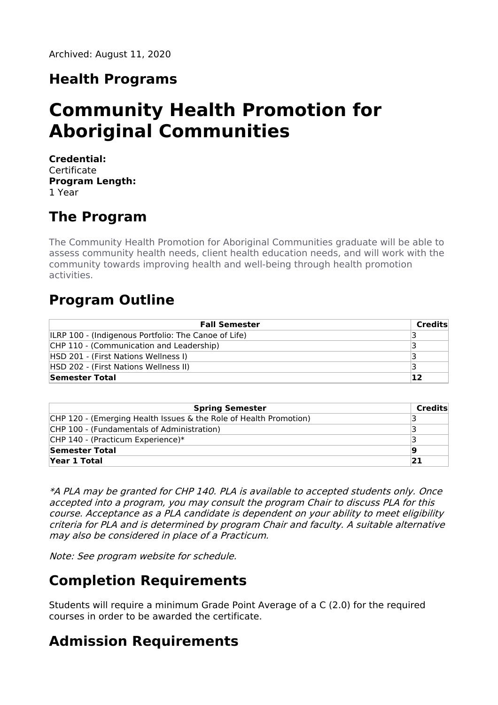# **Health Programs**

# **Community Health Promotion for Aboriginal Communities**

**Credential: Certificate Program Length:** 1 Year

# **The Program**

The Community Health Promotion for Aboriginal Communities graduate will be able to assess community health needs, client health education needs, and will work with the community towards improving health and well-being through health promotion activities.

### **Program Outline**

| <b>Fall Semester</b>                                        | Credits |
|-------------------------------------------------------------|---------|
| <b>ILRP 100 - (Indigenous Portfolio: The Canoe of Life)</b> |         |
| CHP 110 - (Communication and Leadership)                    |         |
| HSD 201 - (First Nations Wellness I)                        |         |
| HSD 202 - (First Nations Wellness II)                       |         |
| Semester Total                                              | 12      |

| <b>Spring Semester</b>                                            | Credits |
|-------------------------------------------------------------------|---------|
| CHP 120 - (Emerging Health Issues & the Role of Health Promotion) |         |
| CHP 100 - (Fundamentals of Administration)                        |         |
| CHP 140 - (Practicum Experience)*                                 |         |
| Semester Total                                                    | 9       |
| Year 1 Total                                                      | 21      |

\*A PLA may be granted for CHP 140. PLA is available to accepted students only. Once accepted into <sup>a</sup> program, you may consult the program Chair to discuss PLA for this course. Acceptance as <sup>a</sup> PLA candidate is dependent on your ability to meet eligibility criteria for PLA and is determined by program Chair and faculty. A suitable alternative may also be considered in place of <sup>a</sup> Practicum.

Note: See program website for schedule.

### **Completion Requirements**

Students will require a minimum Grade Point Average of a C (2.0) for the required courses in order to be awarded the certificate.

# **Admission Requirements**